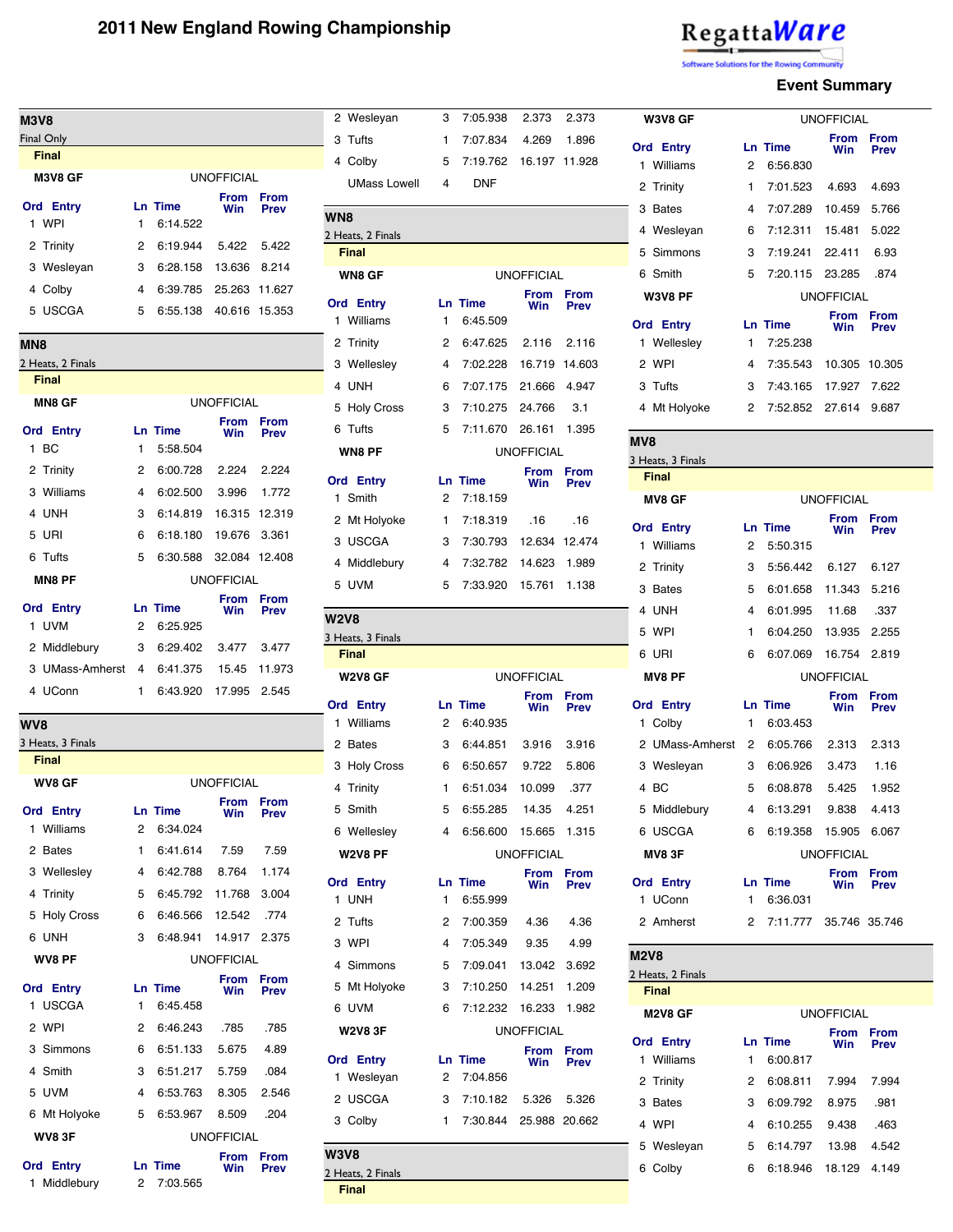#### **M3V8** Final Only **Final M3V8 GF Ord Entry Ln Time** UNOFFICIAL **From From Win Prev** 1 WPI 1 6:14.522 2 Trinity 2 6:19.944 5.422 5.422 3 Wesleyan 3 6:28.158 13.636 8.214 4 Colby 4 6:39.785 25.263 11.627 5 USCGA 5 6:55.138 40.616 15.3 **MN8** 2 Heats, 2 Finals **Final MN8 GF Ord Entry Ln Time** UNOFFICIAL **From From Win Prev** 1 BC 1 5:58.504 2 Trinity 2 6:00.728 2.224 2.224 3 Williams 4 6:02.500 3.996 1.772 4 UNH 3 6:14.819 16.315 12.319 5 URI 6 6:18.180 19.676 3.361 6 Tufts 5 6:30.588 32.084 12.408 **MN8 PF Ord Entry Ln Time** UNOFFICIAL **From From Win Prev** 1 UVM 2 6:25.925 2 Middlebury 3 6:29.402 3.477 3.477 3 UMass-Amherst 4 6:41.375 15.45 11.9 4 UConn 1 6:43.920 17.995 2.54 **WV8** 3 Heats, 3 Finals **Final WV8 GF Ord Entry Ln Time** UNOFFICIAL **From Win From Pre** 1 Williams 2 6:34.024 2 Bates 1 6:41.614 7.59 7.59 3 Wellesley 4 6:42.788 8.764 1.17 4 Trinity 5 6:45.792 11.768 3.004 5 Holy Cross 6 6:46.566 12.542 .774 6 UNH 3 6:48.941 14.917 2.375 **WV8 PF Ord Entry Ln Time** UNOFFICIAL **From Win From Prev** 1 USCGA 1 6:45.458 2 WPI 2 6:46.243 .785 .785 3 Simmons 6 6:51.133 5.675 4.89 4 Smith 3 6:51.217 5.759 .084 5 UVM 4 6:53.763 8.305 2.546 6 Mt Holyoke 5 6:53.967 8.509 .204 **WV8 3F** UNOFFICIAL **From From Prev**

| <b>Ord Entry</b> | Ln Time    | .<br>Win |  |  |  |
|------------------|------------|----------|--|--|--|
| 1 Middlebury     | 2 7:03.565 |          |  |  |  |

| 14             | <b>WN8 GF</b>                    | <b>UNOFFICIAL</b> |                |                    |                            |  |  |  |
|----------------|----------------------------------|-------------------|----------------|--------------------|----------------------------|--|--|--|
| 27             | <b>Ord Entry</b>                 |                   | <b>Ln Time</b> | <b>From</b><br>Win | <b>From</b>                |  |  |  |
| 53             | 1 Williams                       | 1                 | 6:45.509       |                    | <b>Prev</b>                |  |  |  |
|                | 2 Trinity                        | 2                 | 6:47.625       | 2.116              | 2.116                      |  |  |  |
|                | 3 Wellesley                      | 4                 | 7:02.228       | 16.719             | 14.603                     |  |  |  |
|                | 4 UNH                            | 6                 | 7:07.175       | 21.666             | 4.947                      |  |  |  |
|                | 5 Holy Cross                     | 3                 | 7:10.275       | 24.766             | 3.1                        |  |  |  |
| n<br>v         | 6 Tufts                          | 5                 | 7:11.670       | 26.161             | 1.395                      |  |  |  |
|                | WN8 PF                           |                   |                | <b>UNOFFICIAL</b>  |                            |  |  |  |
| 24             | <b>Ord Entry</b>                 |                   | <b>Ln Time</b> | <b>From</b>        | <b>From</b>                |  |  |  |
| $\overline{2}$ | 1 Smith                          | 2                 | 7:18.159       | Win                | <b>Prev</b>                |  |  |  |
| 19             | 2 Mt Holyoke                     | $\mathbf{1}$      | 7:18.319       | .16                | .16                        |  |  |  |
| 51             | 3 USCGA                          | 3                 | 7:30.793       | 12.634 12.474      |                            |  |  |  |
| 08             | 4 Middlebury                     | 4                 | 7:32.782       | 14.623             | 1.989                      |  |  |  |
|                | 5 UVM                            | 5                 | 7:33.920       | 15.761             | 1.138                      |  |  |  |
| n<br>V         |                                  |                   |                |                    |                            |  |  |  |
|                | <b>W2V8</b><br>3 Heats, 3 Finals |                   |                |                    |                            |  |  |  |
| 77             | <b>Final</b>                     |                   |                |                    |                            |  |  |  |
| 73             | <b>W2V8 GF</b>                   |                   |                | <b>UNOFFICIAL</b>  |                            |  |  |  |
| 15             | <b>Ord Entry</b>                 |                   | <b>Ln Time</b> | <b>From</b>        | <b>From</b>                |  |  |  |
|                | 1 Williams                       | 2                 | 6:40.935       | Win                | <b>Prev</b>                |  |  |  |
|                | 2 Bates                          | 3                 | 6:44.851       | 3.916              | 3.916                      |  |  |  |
|                | 3 Holy Cross                     | 6                 | 6:50.657       | 9.722              | 5.806                      |  |  |  |
|                | 4 Trinity                        | 1                 | 6:51.034       | 10.099             | .377                       |  |  |  |
| n<br>v         | 5 Smith                          | 5                 | 6:55.285       | 14.35              | 4.251                      |  |  |  |
|                | 6 Wellesley                      | 4                 | 6:56.600       | 15.665             | 1.315                      |  |  |  |
| 9              | <b>W2V8 PF</b>                   |                   |                | <b>UNOFFICIAL</b>  |                            |  |  |  |
| 74             | <b>Ord Entry</b>                 |                   | <b>Ln Time</b> | <b>From</b>        | <b>From</b>                |  |  |  |
| )4             | 1 UNH                            | 1                 | 6:55.999       | Win                | <b>Prev</b>                |  |  |  |
| 4              | 2 Tufts                          | 2                 | 7:00.359       | 4.36               | 4.36                       |  |  |  |
| 75             | 3 WPI                            | 4                 | 7:05.349       | 9.35               | 4.99                       |  |  |  |
|                | 4 Simmons                        | 5                 | 7:09.041       | 13.042             | 3.692                      |  |  |  |
| n<br>v         | 5 Mt Holyoke                     | 3                 | 7:10.250       | 14.251             | 1.209                      |  |  |  |
|                | 6 UVM                            | 6                 | 7:12.232       | 16.233             | 1.982                      |  |  |  |
| 5              | <b>W2V83F</b>                    |                   |                | <b>UNOFFICIAL</b>  |                            |  |  |  |
| 9              | <b>Ord Entry</b>                 |                   | <b>Ln Time</b> | <b>From</b><br>Win | <b>From</b><br><b>Prev</b> |  |  |  |
| 4              | 1 Wesleyan                       | 2                 | 7:04.856       |                    |                            |  |  |  |
| 16             | 2 USCGA                          | 3                 | 7:10.182       | 5.326              | 5.326                      |  |  |  |
| 4              | 3 Colby                          | 1                 | 7:30.844       |                    | 25.988 20.662              |  |  |  |
|                |                                  |                   |                |                    |                            |  |  |  |
| n<br>v         | <b>W3V8</b><br>2 Heats, 2 Finals |                   |                |                    |                            |  |  |  |
|                | <b>Final</b>                     |                   |                |                    |                            |  |  |  |

2 Wesleyan 3 7:05.938 2.373 2.373 3 Tufts 1 7:07.834 4.269 1.896 4 Colby 5 7:19.762 16.197 11.928

UMass Lowell 4 DNF

**WN8**

2 Heats, 2 Finals **Final**

# RegattaWare

vare Solutions for the Rowing Cor

#### **Event Summary**

| W3V8 GF                           |   |                            | <b>UNOFFICIAL</b>  |                     |
|-----------------------------------|---|----------------------------|--------------------|---------------------|
| <b>Ord Entry</b>                  |   | <b>Ln Time</b>             | <b>From</b><br>Win | From<br><b>Prev</b> |
| Williams<br>1                     | 2 | 6:56.830                   |                    |                     |
| 2<br>Trinity                      | 1 | 7:01.523                   | 4.693              | 4.693               |
| 3<br><b>Bates</b>                 | 4 | 7:07.289                   | 10.459             | 5.766               |
| 4<br>Wesleyan                     | 6 | 7:12.311                   | 15.481             | 5.022               |
| Simmons<br>5                      | 3 | 7:19.241                   | 22.411             | 6.93                |
| Smith<br>6                        | 5 | 7:20.115                   | 23.285             | .874                |
| W3V8 PF                           |   |                            | UNOFFICIAL         |                     |
|                                   |   |                            | From               | From                |
| <b>Ord Entry</b><br>1             | 1 | <b>Ln Time</b><br>7:25.238 | Win                | <b>Prev</b>         |
| Wellesley<br>2 WPI                | 4 | 7:35.543                   | 10.305             |                     |
|                                   |   |                            |                    | 10.305              |
| 3<br>Tufts                        | 3 | 7:43.165                   | 17.927             | 7.622               |
| 4 Mt Holyoke                      | 2 | 7:52.852                   | 27.614             | 9.687               |
| MV <sub>8</sub>                   |   |                            |                    |                     |
| 3 Heats, 3 Finals                 |   |                            |                    |                     |
| <b>Final</b>                      |   |                            |                    |                     |
| <b>MV8 GF</b>                     |   |                            | <b>UNOFFICIAL</b>  |                     |
| <b>Ord Entry</b>                  |   | <b>Ln Time</b>             | From<br>Win        | From<br><b>Prev</b> |
| Williams<br>1                     | 2 | 5:50.315                   |                    |                     |
| <b>Trinity</b><br>2               | 3 | 5:56.442                   | 6.127              | 6.127               |
| 3<br><b>Bates</b>                 | 5 | 6:01.658                   | 11.343             | 5.216               |
| UNH<br>4                          | 4 | 6:01.995                   | 11.68              | .337                |
| WPI<br>5                          | 1 | 6:04.250                   | 13.935             | 2.255               |
| URI<br>6                          | 6 | 6:07.069                   | 16.754             | 2.819               |
| <b>MV8 PF</b>                     |   |                            | <b>UNOFFICIAL</b>  |                     |
|                                   |   |                            | From               | From                |
| <b>Ord Entry</b><br>Colby<br>1    | 1 | <b>Ln Time</b><br>6:03.453 | Win                | Prev                |
| UMass-Amherst<br>2                | 2 | 6:05.766                   | 2.313              | 2.313               |
|                                   | 3 | 6:06.926                   | 3.473              | 1.16                |
| 3 Wesleyan<br>4 BC                | 5 | 6:08.878                   | 5.425              | 1.952               |
|                                   | 4 |                            |                    |                     |
| Middlebury<br>5                   |   | 6:13.291                   | 9.838              | 4.413               |
| <b>USCGA</b><br>6                 | 6 | 6:19.358                   | 15.905             | 6.067               |
| <b>MV8 3F</b>                     |   |                            | <b>UNOFFICIAL</b>  |                     |
| <b>Ord Entry</b>                  |   | <b>Ln Time</b>             | From<br>Win        | From<br><b>Prev</b> |
| 1 UConn                           | 1 | 6:36.031                   |                    |                     |
| 2 Amherst                         | 2 | 7:11.777                   | 35.746 35.746      |                     |
| <b>M2V8</b>                       |   |                            |                    |                     |
| 2 Heats, 2 Finals<br><b>Final</b> |   |                            |                    |                     |
| <b>M2V8 GF</b>                    |   |                            | <b>UNOFFICIAL</b>  |                     |
|                                   |   |                            | From               | From                |
| <b>Ord Entry</b>                  |   | <b>Ln Time</b>             | Win                | Prev                |
| 1 Williams                        | 1 | 6:00.817                   |                    |                     |
| Trinity<br>2                      | 2 | 6:08.811                   | 7.994              | 7.994               |
| 3 Bates                           | 3 | 6:09.792                   | 8.975              | .981                |

4 WPI 4 6:10.255 9.438 .463 5 Wesleyan 5 6:14.797 13.98 4.542

6 Colby 6 6:18.946 18.129 4.149